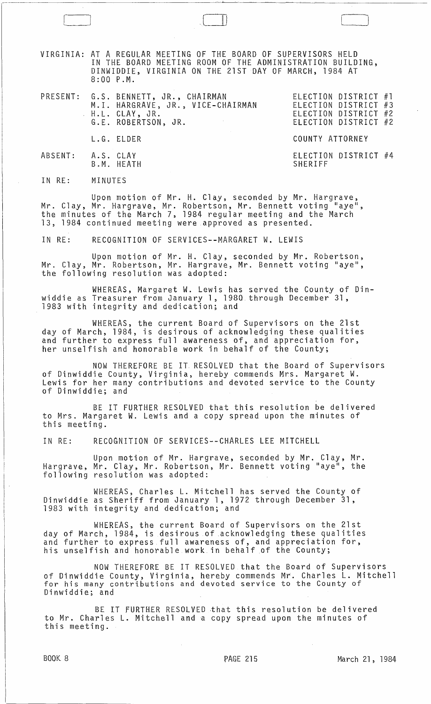VIRGINIA: AT A REGULAR MEETING OF THE BOARD OF SUPERVISORS HELD IN THE BOARD MEETING ROOM OF THE ADMINISTRATION BUILDING, DINWIDDIE, VIRGINIA ON THE 21ST DAY OF MARCH~ 1984 AT 8:00 P.M.

r-!n' J

|                   | PRESENT: G.S. BENNETT, JR., CHAIRMAN<br>M.I. HARGRAVE, JR., VICE-CHAIRMAN<br>H.L. CLAY, JR.<br>G.E. ROBERTSON, JR. | ELECTION DISTRICT #1<br>ELECTION DISTRICT #3<br>ELECTION DISTRICT #2<br>ELECTION DISTRICT #2 |
|-------------------|--------------------------------------------------------------------------------------------------------------------|----------------------------------------------------------------------------------------------|
|                   | L.G. ELDER                                                                                                         | COUNTY ATTORNEY                                                                              |
| ABSENT: A.S. CLAY | B.M. HEATH                                                                                                         | ELECTION DISTRICT #4<br>SHERIFF                                                              |

IN RE: MINUTES

Upon motion of Mr. H. Clay, seconded by Mr. Hargrave, Mr. Clay, Mr. Hargrave, Mr. Robertson, Mr. Bennett voting "aye", the minutes of the March 7, 1984 regular meeting and the March 13, 1984 continued meeting were approved as presented.

IN RE: RECOGNITION OF SERVICES--MARGARET W. LEWIS

 $r = 1$  . The set of  $r = 1$  is the set of  $r = 1$ 

Upon motion of Mr. H. Clay, seconded by Mr. Robertson, Mr. Clay, Mr. Robertson, Mr. Hargrave, Mr. Bennett voting "aye", the following resolution was adopted:

WHEREAS, Margaret W. Lewis has served the County of Dinwiddie as Treasurer from January 1, 1980. through December 31, 1983 with integrity and dedication; and

WHEREAS, the current Board of Supervisors on the 21st day of March, 1984, is desirous of acknowledging these qualities and further to express full awareness of, and appreciation for, her unselfish and honorable work in behalf of the County;

NOW THEREFORE BE IT RESOLVED that the Board of Supervisors of Dinwiddie County, Virginia, hereby commends Mrs. Margaret W. Lewis for her many contributions and devoted service to the County of Dinwiddie; and

BE IT FURTHER RESOLVED that this resolution be delivered to Mrs. Margaret W. Lewis and a copy spread upon the minutes of this meeting.

IN RE: RECOGNITION OF SERVICES--CHARLES LEE MITCHELL

Upon motion of Mr. Hargrave, seconded by Mr. Clay, Mr. Hargrave, Mr. Clay, Mr. Robertson, Mr. Bennett voting "aye", the following resolution was adopted:

WHEREAS, Charles L. Mitchell has served the County of Dinwiddie as Sheriff from January 1, 1972 through December 31, 1983 with integrity and dedication; and

WHEREAS, the current Board of Supervisors on the 21st day of March, 1984, is desirous of acknowledging these qualities and further to express full awareness of, and appreciation for, his unselfish and honorable work in behalf of the County;

NOW THEREFORE BE IT RESOLVED that the Board of Supervisors of Dinwiddie County, Virginia, hereby commends Mr. Charles L. Mitchell for his many contributions and devoted service to the County of Dinwiddie; and

BE IT fURTHER RESOLVED that this resolution be delivered to Mr. Charles L. Mitchell and a copy spread upon the minutes of this meeting.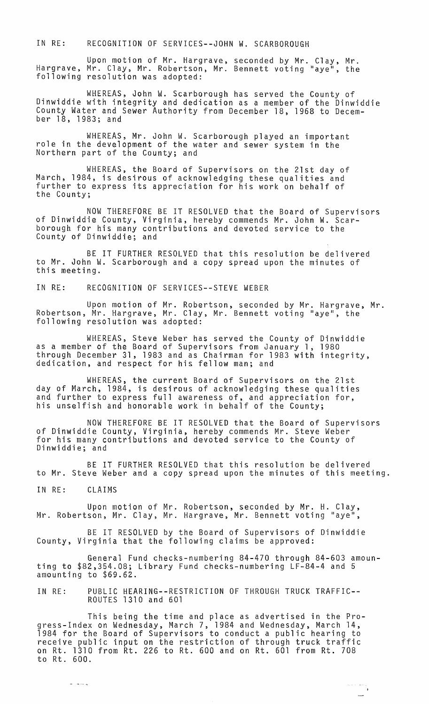IN RE: RECOGNITION OF SERVICES--JOHN W. SCARBOROUGH

Upon motion of Mr. Hargrave, seconded by Mr. Clay, Mr. Hargrave, Mr. Clay, Mr. Robertson, Mr. Bennett voting "aye", the following resolution was adopted:

WHEREAS, John W. Scarborough has served the County of Dinwiddie with integrity and dedication as a member of the Dinwiddie County Water and Sewer Authority from December 18, 1968 to December 18, 1983; and

WHEREAS, Mr. John W. Scarborough played an important role in the development of the water and sewer system in the Northern part of the County; and

WHEREAS, the Board of Supervisors on the 21st day of March, 1984, is desirous of acknowledging these qualities and further to express its appreciation for his work on behalf of the County;

NOW THEREFORE BE IT RESOLVED that the Board of Supervisors of Dinwiddie County, Virginia, hereby commends Mr. John W. Scarborough for his many contributions and devoted service to the County of Dinwiddie; and

BE IT FURTHER RESOLVED that this resolution be delivered to Mr. John W. Scarborough and a copy spread upon the minutes of this meeting.

IN RE: RECOGNITION OF SERVICES--STEVE WEBER

Upon motion of Mr. Robertson, seconded by Mr. Hargrave, Mr. Robertson, Mr. Hargrave, Mr. Clay, Mr. Bennett voting "aye", the following resolution was adopted:

WHEREAS, Steve Weber has served the County of Dinwiddie as a member of the Board of Supervisors from January 1, 1980 through December 31, 1983 and as Chairman for 1983 with integrity, dedication, and respect for his fellow man; and

WHEREAS, the current Board of Supervisors on the 21st day of March, 1984, is desirous of acknowledging these qualities and further to express full awareness of, and appreciation for, his unselfish and honorable work in behalf of the County;

NOW THEREFORE BE IT RESOLVED that the Board of Supervisors of Dinwiddie County, Virginia, hereby commends Mr. Steve Weber for his many contributions and devoted service to the County of Dinwiddie; and

BE IT FURTHER RESOLVED that this resolution be delivered to Mr. Steve Weber and a copy spread upon the minutes of this meeting.

IN RE: CLAIMS

Upon motion of Mr. Robertson, seconded by Mr. H. Clay, Mr. Robertson, Mr. Clay, Mr. Hargrave, Mr. Bennett voting "aye",

BE IT RESOLVED by the Board of Supervisors of Dinwiddie County, Virginia that the following claims be approved:

General Fund checks-numbering 84-470 through 84-603 amounting to \$82,354.08; Library Fund checks-numbering LF-84-4 and 5 amounting to \$69.62.

IN RE: PUBLIC HEARING--RESTRICTION OF THROUGH TRUCK TRAFFIC-- ROUTES 1310 and 601

This being the time and place as advertised in the Progress-Index on Wednesday, March 7, 1984 and Wednesday, March 14, 1984 for the Board of Supervisors to conduct a public hearing to receive public input on the restriction of through truck traffic on Rt. 1310 from Rt. 226 to Rt. 600 and on Rt. 601 from Rt. 708 to Rt. 600.

المناسب.<br>الأ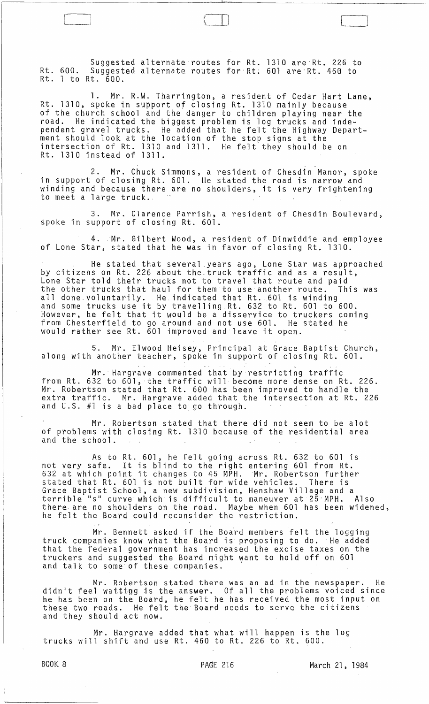Suggested alternate-routes for Rt. 1310 are-Rt. 226 to Rt. 600. Suggested alternate routes for-Rt: 601 are-Rt. 460 to Rt. 1 to Rt. 600.

 $_{\rm{1--}}$ 

 $\Box$ 

1. Mr. R.W. Tharrington, a resident of Cedar Hart Lane, Rt. 1310, spoke in support of closing Rt. 1310 mainly because of the church school and the danger to children playing near the<br>road. He indicated the biggest problem is log trucks and inde-He indicated the biggest problem is log trucks and independent gravel trucks. He added that he felt the Highway Department should look at the location of the stop signs at the intersection of Rt. 1310 and 1311. He felt they should be on Rt. 1310 instead of 1311.

2. Mr. Chuck Simmons, a resident of Chesdin Manor, spoke in support of closing Rt. 601. He stated the road is narrow and winding and because there are no shoulders, it is very frightening to meet a large truck.,

Mr. Clarence Parrish, a resident of Chesdin Boulevard, spoke in support of closing Rt. 601.

4. Mr. Gilbert Wood, a resident of Dinwiddie and employee of Lone Star, stated that he was in favor of closing Rt, 1310.

He stated that several \_years ago, Lone Star was approached by citizens on Rt. 226 about the. truck traffic and as a result, Lone Star told their trucks not to travel that route and paid the other trucks that haul for them'to use another route. This was all done voluntarily. He indicated that Rt.60l is winding and some voluntarity. The indicated that Kt. 601 is winding<br>and some trucks use it by travelling Rt. 632 to Rt. 601 to 600. However, he felt that it would be a disservice to truckers coming from Chesterfield to go around and not use 601. He stated he would rather see Rt. 601 improved and leave it open.

5. Mr. Elwood Heisey, Principal at Grace Baptist Church, along with another teacher, spoke in support of closing Rt. 601.

Mr. Hargrave commented that by restricting traffic from Rt.  $632$  to  $601$ , the traffic will become more dense on Rt. 226. Mr. Robertson stated that Rt. 600 has been improved to handle the extra traffic. Mr. Hargrave added that the intersection at Rt. 226 and U.S. #1 is a bad place to go through.

Mr. Robertson stated that there did not seem to be alot of problems with closing Rt. 1310 because of the residential area and the school.

As to Rt. 601, he felt going across Rt. 632 to 601 is not very safe. It is blind to the right entering 601 from Rt. hot very sare. It is bithd to the right entering our from Rt.<br>632 at which point it changes to 45 MPH. Mr. Robertson further stated that Rt. 601 is not built for wide vehicles. There is Grace Baptist School, a new subdivision, Henshaw Village and a terrible "s" curve which is difficult to maneuver at 25 MPH. there are no shoulders on the road. Maybe when 601 has been widened, he felt the Board could reconsider the restriction.

Mr. Bennett asked if the Board members felt the logging truck companies know what the Board is proposing to do. He added that the federal government has increased the excise taxes on the truckers and suggested the Board might want to hold off on 601 and talk to some of these companies.

Mr. Robertson stated there was an ad in the newspaper. He didn1t feel wattigg is the answer. Of all the problems voiced since he has been on the Board, he felt he has received the most input on these two roads. He felt the' Board needs to serve the citizens and they should act now.

Mr. Hargrave added that what will happen is the log trucks will shift and use Rt. 460 to Rt. 226 to Rt. 600.

BOOK 8 **PAGE 216** March 21, 1984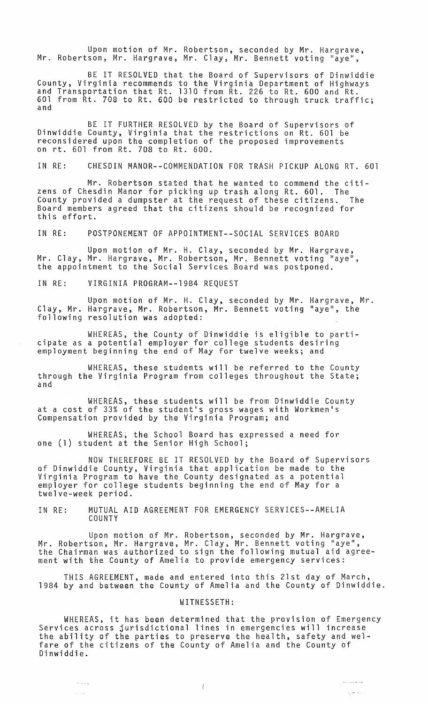Upon motion of Mr. Robertson, seconded by Mr. Hargrave, Mr. Robertson, Mr. Hargrave, Mr. Clay, Mr. Bennett voting "aye",

BE IT RESOLVED that the Board of Supervisors of Dinwiddie County, Virginia recommends to the Virginia Department of Highways<br>and Transportation that Rt. 1310 from Rt. 226 to Rt. 600 and Rt. 601 from Rt. 708 to Rt. 600 be restricted to through truck traffic; and

BE IT FURTHER RESOLVED by the Board of Supervisors of Dinwiddie County, Virginia that the restrictions on Rt. 601 be reconsidered upon the completion of the proposed improvements on rt. 601 from Rt. 708 to Rt. 600.

IN RE: CHESDIN MANOR--COMMENDATION FOR TRASH PICKUP ALONG RT. 601

Mr. Robertson stated that he wanted to commend the citizens of Chesdin Manor for picking up trash along Rt. 601. The County provided a dumpster at the request of these citizens. The Board members agreed that the citizens should be recognized for this effort.

IN RE: POSTPONEMENT OF APPOINTMENT--SOCIAL SERVICES BOARD

Upon motion of Mr. H. Clay, seconded by Mr. Hargrave, Mr. Clay, Mr. Hargrave, Mr. Robertson, Mr. Bennett voting "aye", the appointment to the Social Services Board was postponed.

IN RE: VIRGINIA PROGRAM--1984 REQUEST

Upon motion of Mr. H. Clay, seconded by Mr. Hargrave, Mr. Clay, Mr. Hargrave, Mr. Robertson, Mr. Bennett voting "aye", the following resolution was adopted:

WHEREAS, the County of Dinwiddie is eligible to parti- cipate as a potential employer for college students desiring employment beginning the end of May for twelve weeks; and

WHEREAS, these students will be referred to the County through the Virginia Program from colleges throughout the State; and

WHEREAS, these students will be from Dinwiddie County at a cost of 33% of the student's gross wages with Workmen's Compensation provided by the Virginia Program; and

WHEREAS; the School Board has expressed a need for one (1) student at the Senior High School;

NOW THEREFORE BE IT RESOLVED by the Board of Supervisors of Dinwiddie County, Virginia that application be made to the Virginia Program to have the County designated as a potential employer for college students beginning the end of May for a twelve-week period.

IN RE: MUTUAL AID AGREEMENT FOR EMERGENCY SERVICES--AMELIA **COUNTY** 

Upon motion of Mr. Robertson, seconded by Mr. Hargrave, Mr. Robertson, Mr. Hargrave, Mr. Clay, Mr. Bennett voting "aye", the Chairman was authorized to sign the following mutual aid agreement with the County of Amelia to provide emergency services:

THIS AGREEMENT, made and entered into this 21st day of March, 1984 by and between the County of Amelia and the County of Dinwiddie.

## WITNESSETH:

WHEREAS, it has been determined that the provision of Emergency Services across jurisdictional lines in emergencies will increase the ability of the parties to preserve the health, safety and welfare of the citizens of the County of Amelia and the County of Dinwiddie.

 $\int$ 

 $\sim$   $\sim$   $\sim$   $_{\odot}$ 

 $\sqrt{2}$ 

 $\mathbb{R}^{\frac{1}{2} \times \frac{1}{2} \times \frac{1}{2} \times \frac{1}{2} \times \frac{1}{2} \times \frac{1}{2} \times \frac{1}{2} \times \frac{1}{2} \times \frac{1}{2} \times \frac{1}{2} \times \frac{1}{2} \times \frac{1}{2} \times \frac{1}{2} \times \frac{1}{2} \times \frac{1}{2} \times \frac{1}{2} \times \frac{1}{2} \times \frac{1}{2} \times \frac{1}{2} \times \frac{1}{2} \times \frac{1}{2} \times \frac{1}{2} \times \frac{1}{2} \times \frac{1}{2$ 

المتحرما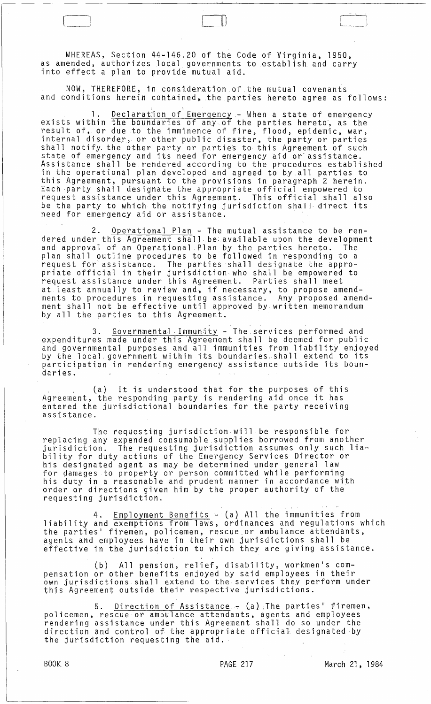WHEREAS, Section 44-146.20 of the Code of Virginia, 1950, as amended, authorizes local governments to establish and carry into effect a plan to provide mutual aid.

L~

NOW, THEREFORE, in consideration of the mutual covenants and conditions herein contained,. the parties hereto agree as follows:

1. Declaration of Emergency - When a state of emergency exists within the boundaries of any of the parties hereto, as the result of, or due to the imminence of fire, flood, epidemic, war, internal disorder, or other public disaster, the party or parties shall notify. the other party or parties to this Agreement of such state of emergency and its need for emergency aid or'assistance. Assistance shall be rendered according to the procedures established in the operational plan developed and agreed to by all parties to this Agreement, pursuant to the provisions in paragraph 2 herein. Each party shall designate the appropriate official empowered to request assistance under this Agreement. This official shall also be the party to which the notifying jurisdiction shall· direct its need for emergency aid or assistance. .

2. <u>Operational Plan</u> - The mutual assistance to be rendered under this Agreement shall be available upon the development and approval of an Operational Plan by the parties hereto. The plan shall outline procedures to be followed in responding to a request for assistance. The parties shall designate the appropriate official in their jurisdiction,who shall be empowered to request assistance under this Agreement. Parties shall meet at. least annually to review and~ if necessary, to propose amendments to procedures in requesting assistance. Any proposed amendment shall not be effective until approved by written memorandum by all the parties to this Agreement.

3. Governmental .Immunity - The services performed and expenditures made under this Agreement shall be deemed for public and governmental purposes and all immunities from liability enjoyed<br>by the local government within its boundaries shall extend to its participation in rendering emergency assistance outside its boundaries.

, (a) It is understood that for the purposes of this Agreement, the responding party is rendering aid once it has entered the jurisdictional boundaries for the party receiving assistance.

The requesting jurisdiction will be responsible for replacing any expended consumable supplies borrowed from another jurisdiction. The requesting jurisdiction assumes only such liability for duty actions of the Emergency Services Director or his designated agent as may be determined under general law for qamages to property or person committed while performing his duty in a reasonable and prudent manner in accordance with order or directions given him by the proper authority of the requesting jurisdiction.

4. Employment Benefits - (a) All the immunities from liability and exemptions from laws, ordinances and regulations which the parties· firemen, policemen, rescue.or ambulance attendants, agents and employees have in their own jurisdictions shall be effective in the jurisdiction to which they are giving assistance.

(b) All pension, relief, disability, workmen·s compensation or other benefits enjoyed by said employees in their own jurisdictions shall extend to the. services they perform under this Agreement outside their respective jurisdictions.

5. Direction of Assistance  $\div$  (a) The parties' firemen, policemen, rescue or ambulance attendants, agents and employees rendering assistance under this Agreement shall ·do so under the direction and control of the appropriate official designated by the jurisdiction requesting the aid.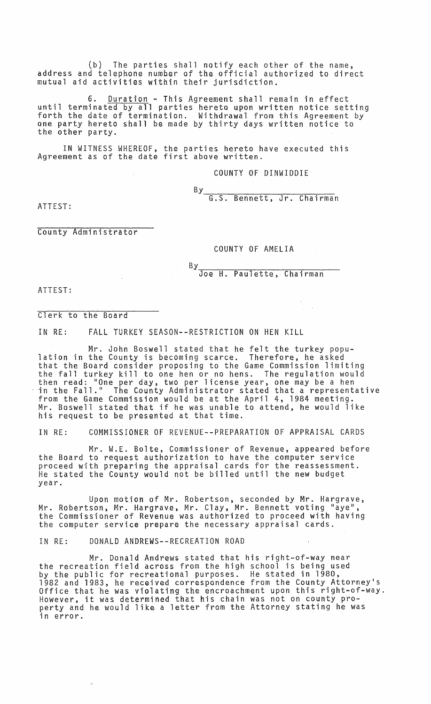(b) The parties shall notify each other of the name, address and telephone number of the official authorized to direct  $m$ utual aid activities within their jurisdiction.

6. Duration - This Agreement shall remain in effect until terminated by all parties hereto upon written notice setting forth the date of termination. Withdrawal from this Agreement by one party hereto shall be made by thirty days written notice to the other party.

IN WITNESS WHEREOF, the parties hereto have executed this Agreement as of the date first above written.

COUNTY OF DINWIDDIE

By<br>G-S-Rennett, Jr. Chairman

ATTEST:

County Administrator

COUNTY OF AMELIA

By<br>Joe H. Paulette, Chairman

ATTEST:

Clerk to the Board

IN RE: FALL TURKEY SEASON--RESTRICTION ON HEN KILL

Mr. John Boswell stated that he felt the turkey population in the County is becoming scarce. Therefore, he asked that the Board consider proposing to the Game Commission limiting the fall turkey kill to one hen or no hens. The regulation would then read: "One per day, two per license year, one may be a hen in the Fall." The County Administrator stated that a representative from the Game Commission would be at the April 4, 1984 meeting. Mr. Boswell stated that if he was unable to attend, he would like his request to be presented at that time.

IN RE: COMMISSIONER OF REVENUE--PREPARATION OF APPRAISAL CARDS

Mr. W.E. Bolte, Commissioner of Revenue, appeared before the Board to request authorization to have the computer service proceed with preparing the appraisal cards for the reassessment. He stated the County would not be billed until the new budget year.

Upon motion of Mr. Robertson, seconded by Mr. Hargrave, Mr. Robertson. Mr. Hargrave, Mr. Clay, Mr. Bennett voting "aye", the Commissioner of Revenue was authorized to proceed with having the computer service prepare the necessary appraisal cards.

IN RE: DONALD ANDREWS--RECREATION ROAD

Mr. Donald Andrews stated that his right-of-way near the recreation field across from the high school is being used by the public for recreational purposes. He stated in 1980, 1982 and 1983, he received correspondence from the County Attorney's<br>Office that he was violating the encroachment upon this right-of-way. However, it was determined that his chain was not on county property and he would like a letter from the Attorney stating he was in error.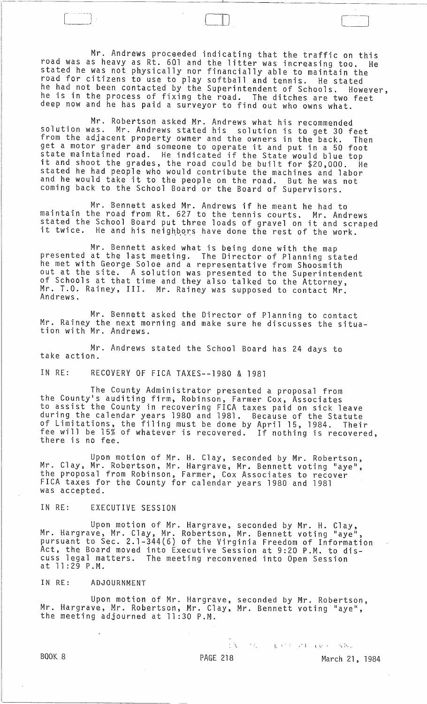Mr. Andrews proceeded indicating that the traffic on this road was as heavy as Rt. 6Ql and the litter was increasing too. He stated he was not physically nor financially able to maintain the road for citizens to use to play softball and tennis. He stated he had not been contacted by the Superintendent of Schools. However, he is in the process of fixing the road. The ditches are two feet deep now and he has paid a surveyor to find out who owns what.

Mr. Robertson asked Mr. Andrews what his recommended solution was. Mr. Andrews stated his solution is to get 30 feet from the adjacent property owner and the owners in the back. Then get a motor grader and someone to operate it and put in a 50 foot state maintained road. He indicated if the State would blue top it and shoot the grades, the road could be built for \$20,000. He stated he had people who would contribute the machines and labor and he would take it to the people on the road. But he was not coming back to the School Board or the Board of Supervisors.

Mr. Bennett asked Mr. Andrews if he meant he had to maintain the road from Rt. 627 to the tennis courts. Mr. Andrews stated the School Board put three loads of gravel on it and scraped it twice. He and his neighbors have done the rest of the work.

Mr. Bennett asked what is being done with the map presented at the last meeting. The Director of Planning stated he met with George Soloe and a representative from Shoosmith out at the site. A solution was presented to the Superintendent of Schools at that time and they also talked to the Attorney, Mr. T.O. Rainey, III. Mr. Rainey was supposed to contact Mr. Andrews.

Mr. Bennett asked the Director of Planning to contact Mr. Rainey the next morning and make sure he discusses the situation with Mr. Andrews.

Mr. Andrews stated the School Board has 24 days to take action.

IN RE: RECOVERY OF FICA TAXES--1980 & 1981

 $\Box$ 

The County Administrator presented a proposal from the County's auditing firm, Robinson, Farmer Cox, Associates to assist the County in recovering FICA taxes paid on sick leave during the calendar years 1980 and 1981. Because of the Statute of Limitations, the filing must be done by April 15, 1984. Their fee will be 15% of whatever is recovered. If nothing is recovered, there is no fee.

Upon *motion* of Mr. H. Clay, seconded by Mr. Robertson, Mr. Clay, Mr. Robertson, Mr. Hargrave, Mr. Bennett voting "aye", the proposal from Robinson, Farmer, Cox Associates to recover FICA taxes for the County for calendar years 1980 and 1981 was accepted.

IN RE: EXECUTIVE SESSION

Upon motion of Mr. Hargrave, seconded by Mr. H. Clay, Mr. Hargrave, Mr. Clay, Mr. Robertson, Mr. Bennett voting "aye", pursuant to Sec. 2.1-344(6} of the Virginia Freedom of Information Act, the Board moved into Executive Session at 9:20 P.M. to discuss legal matters. The meeting reconvened into Open Session at 11 :29 P.M.

IN RE: ADJOURNMENT

Upon *motion* of Mr. Hargrave, seconded by Mr. Robertson, Mr. Hargrave, Mr. Robertson, Mr. Clay, Mr. Bennett voting "aye", the meeting adjourned at 11 :30 P.M.

 $1. \lambda$  . The state of the contribution of  $\lambda$ 

BOOK. 8 **PAGE 218** PAGE 218 March 21, 1984